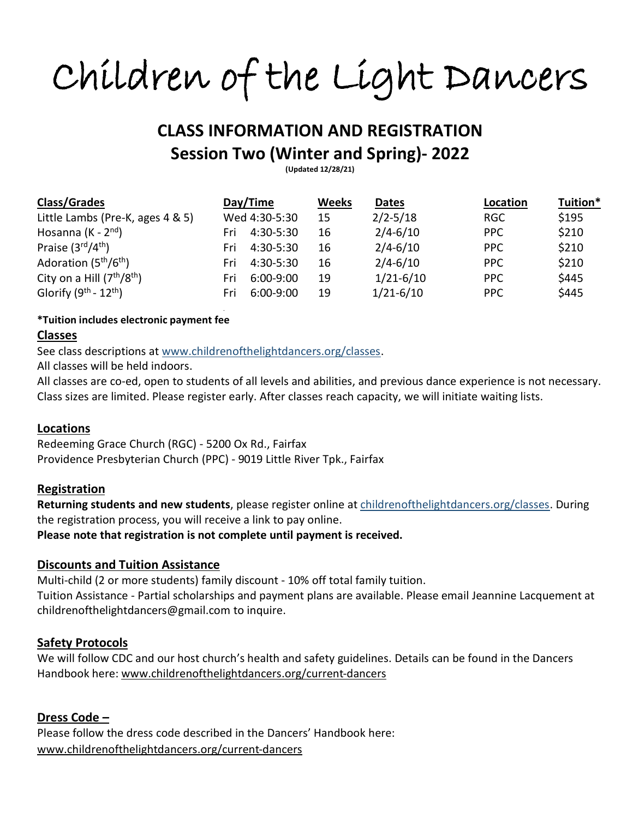Children of the Light Dancers

# **CLASS INFORMATION AND REGISTRATION Session Two (Winter and Spring)- 2022**

**(Updated 12/28/21)**

| <b>Class/Grades</b>                           | Day/Time           | <b>Weeks</b> | Dates         | Location   | Tuition* |
|-----------------------------------------------|--------------------|--------------|---------------|------------|----------|
| Little Lambs (Pre-K, ages 4 & 5)              | Wed 4:30-5:30      | 15           | $2/2 - 5/18$  | <b>RGC</b> | \$195    |
| Hosanna (K - $2^{nd}$ )                       | 4:30-5:30<br>Fri   | 16           | $2/4 - 6/10$  | PPC        | \$210    |
| Praise $(3rd/4th)$                            | 4:30-5:30<br>Fri   | 16           | $2/4 - 6/10$  | <b>PPC</b> | \$210    |
| Adoration (5 <sup>th</sup> /6 <sup>th</sup> ) | 4:30-5:30<br>Fri   | 16           | $2/4 - 6/10$  | <b>PPC</b> | \$210    |
| City on a Hill $(7th/8th)$                    | $6:00-9:00$<br>Fri | 19           | $1/21 - 6/10$ | <b>PPC</b> | \$445    |
| Glorify $(9^{th} - 12^{th})$                  | $6:00-9:00$<br>Fri | 19           | $1/21 - 6/10$ | <b>PPC</b> | \$445    |

#### **\*Tuition includes electronic payment fee**

#### **Classes**

See class descriptions at [www.childrenofthelightdancers.org/classes.](http://www.childrenofthelightdancers.org/classes)

.

All classes will be held indoors.

All classes are co-ed, open to students of all levels and abilities, and previous dance experience is not necessary. Class sizes are limited. Please register early. After classes reach capacity, we will initiate waiting lists.

#### **Locations**

Redeeming Grace Church (RGC) - 5200 Ox Rd., Fairfax Providence Presbyterian Church (PPC) - 9019 Little River Tpk., Fairfax

#### **Registration**

**Returning students and new students**, please register online at [childrenofthelightdancers.org/classes.](http://www.childrenofthelightdancers.org/classes) During the registration process, you will receive a link to pay online.

**Please note that registration is not complete until payment is received.**

## **Discounts and Tuition Assistance**

Multi-child (2 or more students) family discount - 10% off total family tuition. Tuition Assistance - Partial scholarships and payment plans are available. Please email Jeannine Lacquement at childrenofthelightdancers@gmail.com to inquire.

## **Safety Protocols**

We will follow CDC and our host church's health and safety guidelines. Details can be found in the Dancers Handbook here: [www.childrenofthelightdancers.org/current-dancers](http://www.childrenofthelightdancers.org/current-dancers)

## **Dress Code –**

Please follow the dress code described in the Dancers' Handbook here: [www.childrenofthelightdancers.org/current-dancers](http://www.childrenofthelightdancers.org/current-dancers)